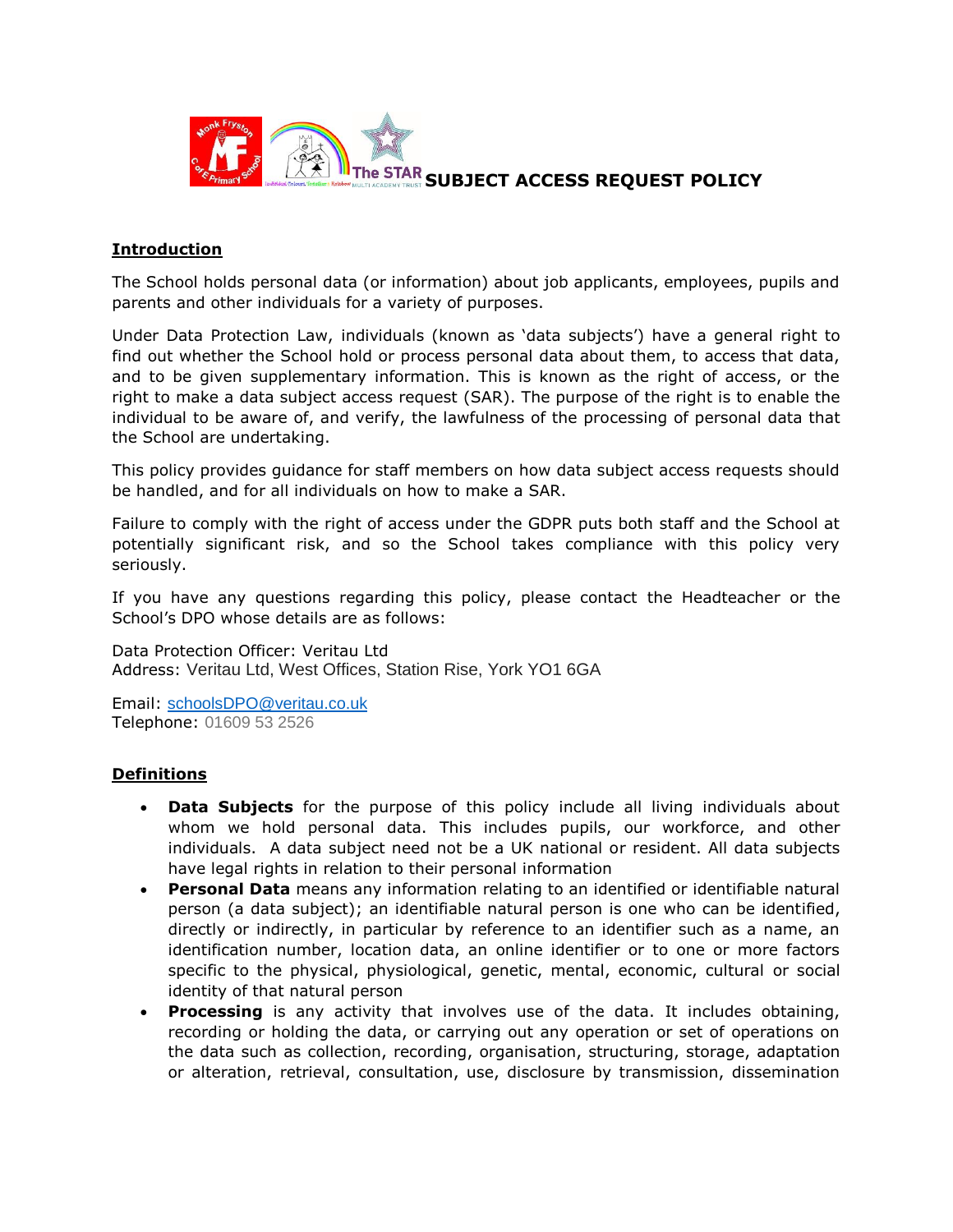

# **The STAR SUBJECT ACCESS REQUEST POLICY**

# **Introduction**

The School holds personal data (or information) about job applicants, employees, pupils and parents and other individuals for a variety of purposes.

Under Data Protection Law, individuals (known as 'data subjects') have a general right to find out whether the School hold or process personal data about them, to access that data, and to be given supplementary information. This is known as the right of access, or the right to make a data subject access request (SAR). The purpose of the right is to enable the individual to be aware of, and verify, the lawfulness of the processing of personal data that the School are undertaking.

This policy provides guidance for staff members on how data subject access requests should be handled, and for all individuals on how to make a SAR.

Failure to comply with the right of access under the GDPR puts both staff and the School at potentially significant risk, and so the School takes compliance with this policy very seriously.

If you have any questions regarding this policy, please contact the Headteacher or the School's DPO whose details are as follows:

Data Protection Officer: Veritau Ltd Address: Veritau Ltd, West Offices, Station Rise, York YO1 6GA

Email: [schoolsDPO@veritau.co.uk](mailto:schoolsDPO@veritau.co.uk) Telephone: 01609 53 2526

# **Definitions**

- **Data Subjects** for the purpose of this policy include all living individuals about whom we hold personal data. This includes pupils, our workforce, and other individuals. A data subject need not be a UK national or resident. All data subjects have legal rights in relation to their personal information
- **Personal Data** means any information relating to an identified or identifiable natural person (a data subject); an identifiable natural person is one who can be identified, directly or indirectly, in particular by reference to an identifier such as a name, an identification number, location data, an online identifier or to one or more factors specific to the physical, physiological, genetic, mental, economic, cultural or social identity of that natural person
- **Processing** is any activity that involves use of the data. It includes obtaining, recording or holding the data, or carrying out any operation or set of operations on the data such as collection, recording, organisation, structuring, storage, adaptation or alteration, retrieval, consultation, use, disclosure by transmission, dissemination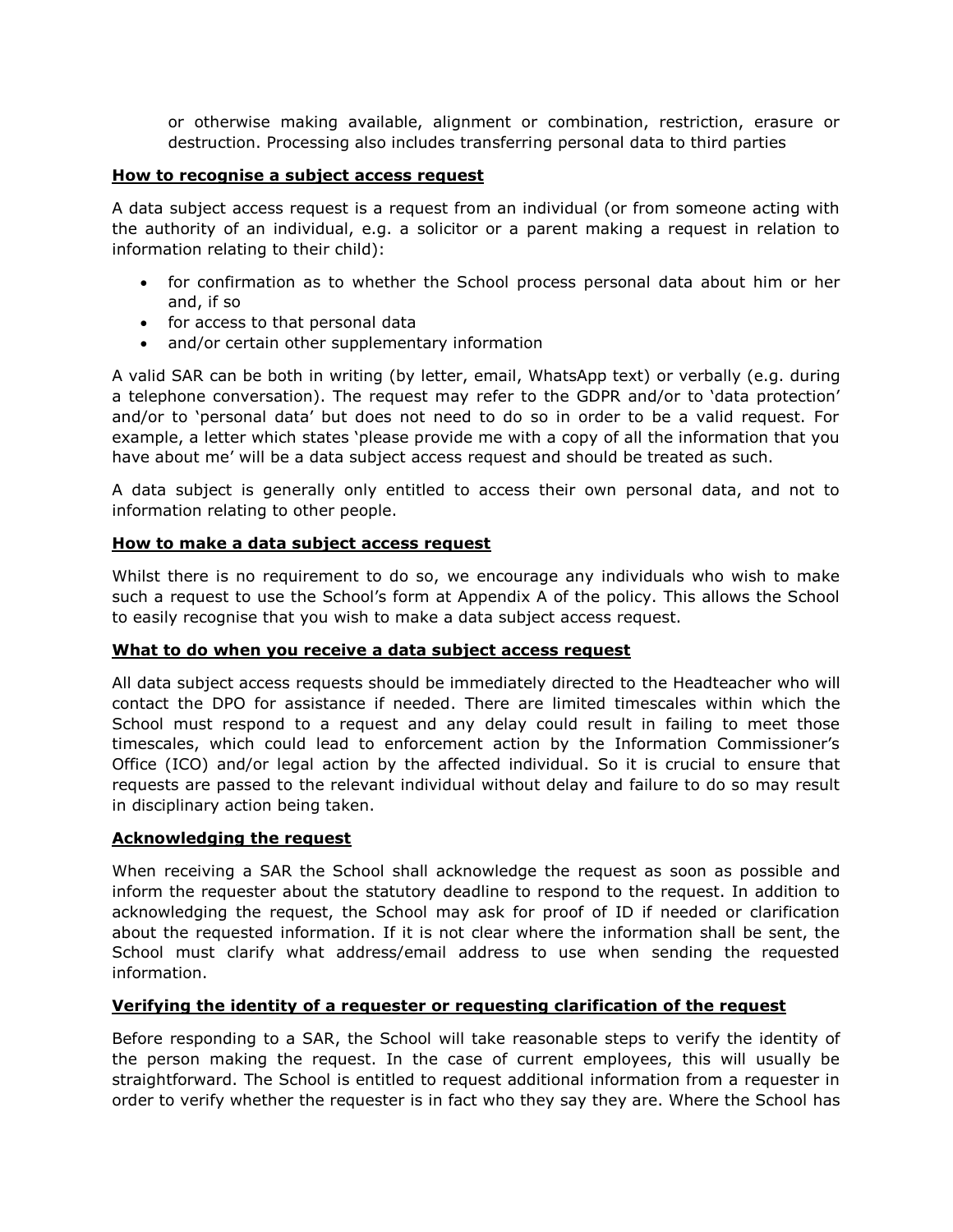or otherwise making available, alignment or combination, restriction, erasure or destruction. Processing also includes transferring personal data to third parties

# **How to recognise a subject access request**

A data subject access request is a request from an individual (or from someone acting with the authority of an individual, e.g. a solicitor or a parent making a request in relation to information relating to their child):

- for confirmation as to whether the School process personal data about him or her and, if so
- for access to that personal data
- and/or certain other supplementary information

A valid SAR can be both in writing (by letter, email, WhatsApp text) or verbally (e.g. during a telephone conversation). The request may refer to the GDPR and/or to 'data protection' and/or to 'personal data' but does not need to do so in order to be a valid request. For example, a letter which states 'please provide me with a copy of all the information that you have about me' will be a data subject access request and should be treated as such.

A data subject is generally only entitled to access their own personal data, and not to information relating to other people.

# **How to make a data subject access request**

Whilst there is no requirement to do so, we encourage any individuals who wish to make such a request to use the School's form at Appendix A of the policy. This allows the School to easily recognise that you wish to make a data subject access request.

# **What to do when you receive a data subject access request**

All data subject access requests should be immediately directed to the Headteacher who will contact the DPO for assistance if needed. There are limited timescales within which the School must respond to a request and any delay could result in failing to meet those timescales, which could lead to enforcement action by the Information Commissioner's Office (ICO) and/or legal action by the affected individual. So it is crucial to ensure that requests are passed to the relevant individual without delay and failure to do so may result in disciplinary action being taken.

# **Acknowledging the request**

When receiving a SAR the School shall acknowledge the request as soon as possible and inform the requester about the statutory deadline to respond to the request. In addition to acknowledging the request, the School may ask for proof of ID if needed or clarification about the requested information. If it is not clear where the information shall be sent, the School must clarify what address/email address to use when sending the requested information.

# **Verifying the identity of a requester or requesting clarification of the request**

Before responding to a SAR, the School will take reasonable steps to verify the identity of the person making the request. In the case of current employees, this will usually be straightforward. The School is entitled to request additional information from a requester in order to verify whether the requester is in fact who they say they are. Where the School has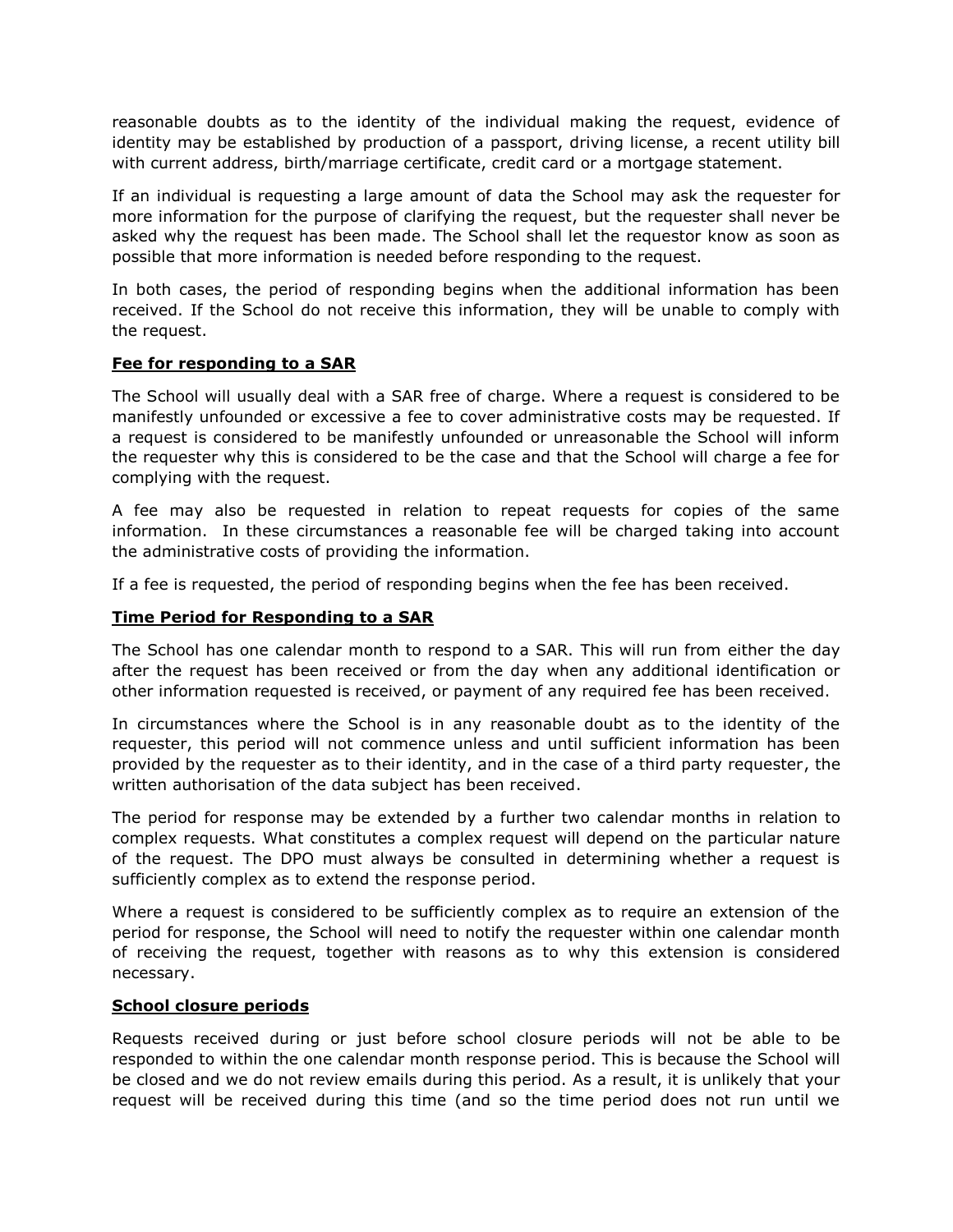reasonable doubts as to the identity of the individual making the request, evidence of identity may be established by production of a passport, driving license, a recent utility bill with current address, birth/marriage certificate, credit card or a mortgage statement.

If an individual is requesting a large amount of data the School may ask the requester for more information for the purpose of clarifying the request, but the requester shall never be asked why the request has been made. The School shall let the requestor know as soon as possible that more information is needed before responding to the request.

In both cases, the period of responding begins when the additional information has been received. If the School do not receive this information, they will be unable to comply with the request.

# **Fee for responding to a SAR**

The School will usually deal with a SAR free of charge. Where a request is considered to be manifestly unfounded or excessive a fee to cover administrative costs may be requested. If a request is considered to be manifestly unfounded or unreasonable the School will inform the requester why this is considered to be the case and that the School will charge a fee for complying with the request.

A fee may also be requested in relation to repeat requests for copies of the same information. In these circumstances a reasonable fee will be charged taking into account the administrative costs of providing the information.

If a fee is requested, the period of responding begins when the fee has been received.

# **Time Period for Responding to a SAR**

The School has one calendar month to respond to a SAR. This will run from either the day after the request has been received or from the day when any additional identification or other information requested is received, or payment of any required fee has been received.

In circumstances where the School is in any reasonable doubt as to the identity of the requester, this period will not commence unless and until sufficient information has been provided by the requester as to their identity, and in the case of a third party requester, the written authorisation of the data subject has been received.

The period for response may be extended by a further two calendar months in relation to complex requests. What constitutes a complex request will depend on the particular nature of the request. The DPO must always be consulted in determining whether a request is sufficiently complex as to extend the response period.

Where a request is considered to be sufficiently complex as to require an extension of the period for response, the School will need to notify the requester within one calendar month of receiving the request, together with reasons as to why this extension is considered necessary.

# **School closure periods**

Requests received during or just before school closure periods will not be able to be responded to within the one calendar month response period. This is because the School will be closed and we do not review emails during this period. As a result, it is unlikely that your request will be received during this time (and so the time period does not run until we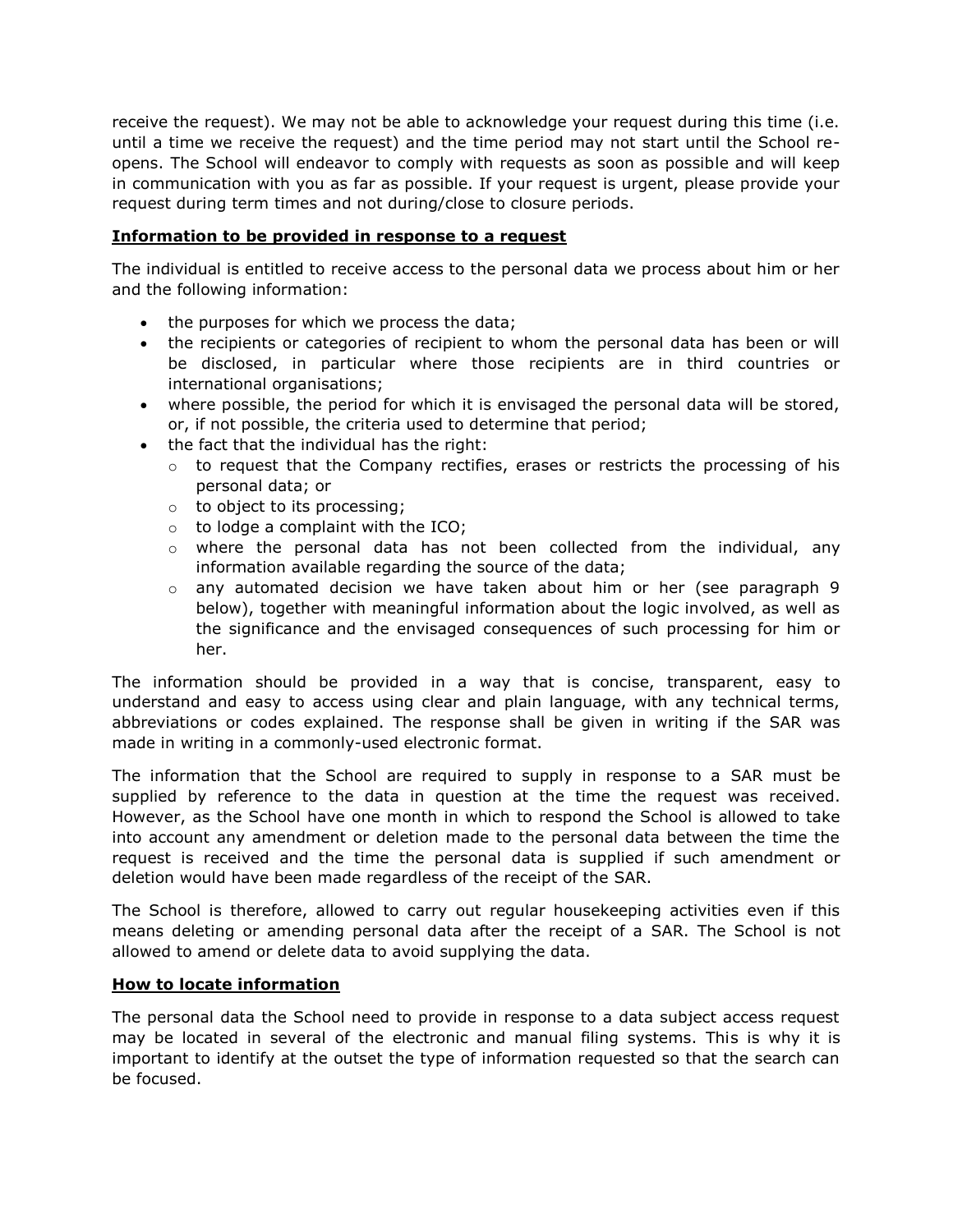receive the request). We may not be able to acknowledge your request during this time (i.e. until a time we receive the request) and the time period may not start until the School reopens. The School will endeavor to comply with requests as soon as possible and will keep in communication with you as far as possible. If your request is urgent, please provide your request during term times and not during/close to closure periods.

# **Information to be provided in response to a request**

The individual is entitled to receive access to the personal data we process about him or her and the following information:

- the purposes for which we process the data;
- the recipients or categories of recipient to whom the personal data has been or will be disclosed, in particular where those recipients are in third countries or international organisations;
- where possible, the period for which it is envisaged the personal data will be stored, or, if not possible, the criteria used to determine that period;
- the fact that the individual has the right:
	- $\circ$  to request that the Company rectifies, erases or restricts the processing of his personal data; or
	- o to object to its processing;
	- $\circ$  to lodge a complaint with the ICO;
	- o where the personal data has not been collected from the individual, any information available regarding the source of the data;
	- $\circ$  any automated decision we have taken about him or her (see paragraph 9 below), together with meaningful information about the logic involved, as well as the significance and the envisaged consequences of such processing for him or her.

The information should be provided in a way that is concise, transparent, easy to understand and easy to access using clear and plain language, with any technical terms, abbreviations or codes explained. The response shall be given in writing if the SAR was made in writing in a commonly-used electronic format.

The information that the School are required to supply in response to a SAR must be supplied by reference to the data in question at the time the request was received. However, as the School have one month in which to respond the School is allowed to take into account any amendment or deletion made to the personal data between the time the request is received and the time the personal data is supplied if such amendment or deletion would have been made regardless of the receipt of the SAR.

The School is therefore, allowed to carry out regular housekeeping activities even if this means deleting or amending personal data after the receipt of a SAR. The School is not allowed to amend or delete data to avoid supplying the data.

# **How to locate information**

The personal data the School need to provide in response to a data subject access request may be located in several of the electronic and manual filing systems. This is why it is important to identify at the outset the type of information requested so that the search can be focused.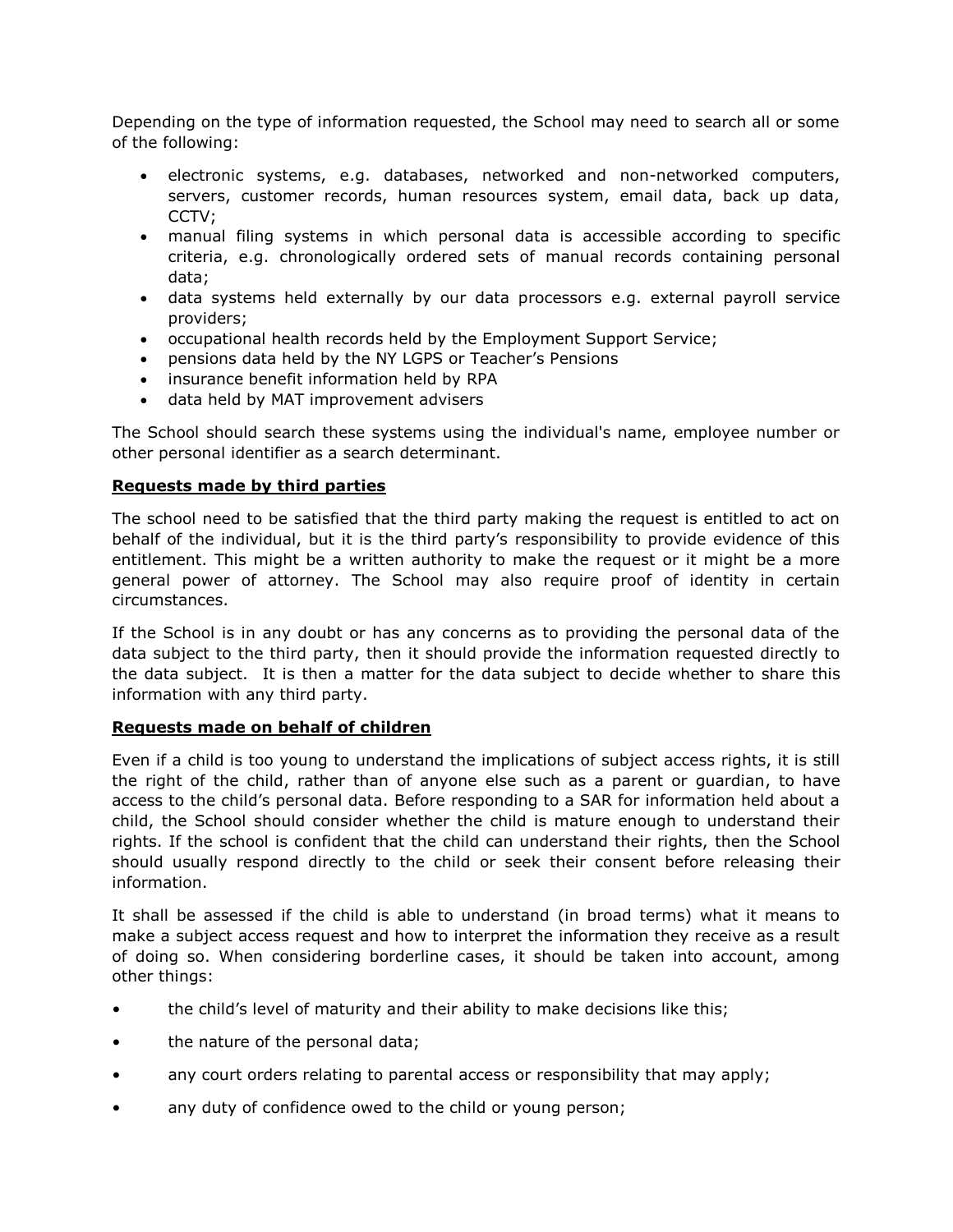Depending on the type of information requested, the School may need to search all or some of the following:

- electronic systems, e.g. databases, networked and non-networked computers, servers, customer records, human resources system, email data, back up data, CCTV;
- manual filing systems in which personal data is accessible according to specific criteria, e.g. chronologically ordered sets of manual records containing personal data;
- data systems held externally by our data processors e.g. external payroll service providers;
- occupational health records held by the Employment Support Service;
- pensions data held by the NY LGPS or Teacher's Pensions
- insurance benefit information held by RPA
- data held by MAT improvement advisers

The School should search these systems using the individual's name, employee number or other personal identifier as a search determinant.

# **Requests made by third parties**

The school need to be satisfied that the third party making the request is entitled to act on behalf of the individual, but it is the third party's responsibility to provide evidence of this entitlement. This might be a written authority to make the request or it might be a more general power of attorney. The School may also require proof of identity in certain circumstances.

If the School is in any doubt or has any concerns as to providing the personal data of the data subject to the third party, then it should provide the information requested directly to the data subject. It is then a matter for the data subject to decide whether to share this information with any third party.

# **Requests made on behalf of children**

Even if a child is too young to understand the implications of subject access rights, it is still the right of the child, rather than of anyone else such as a parent or guardian, to have access to the child's personal data. Before responding to a SAR for information held about a child, the School should consider whether the child is mature enough to understand their rights. If the school is confident that the child can understand their rights, then the School should usually respond directly to the child or seek their consent before releasing their information.

It shall be assessed if the child is able to understand (in broad terms) what it means to make a subject access request and how to interpret the information they receive as a result of doing so. When considering borderline cases, it should be taken into account, among other things:

- the child's level of maturity and their ability to make decisions like this;
- the nature of the personal data;
- any court orders relating to parental access or responsibility that may apply;
- any duty of confidence owed to the child or young person;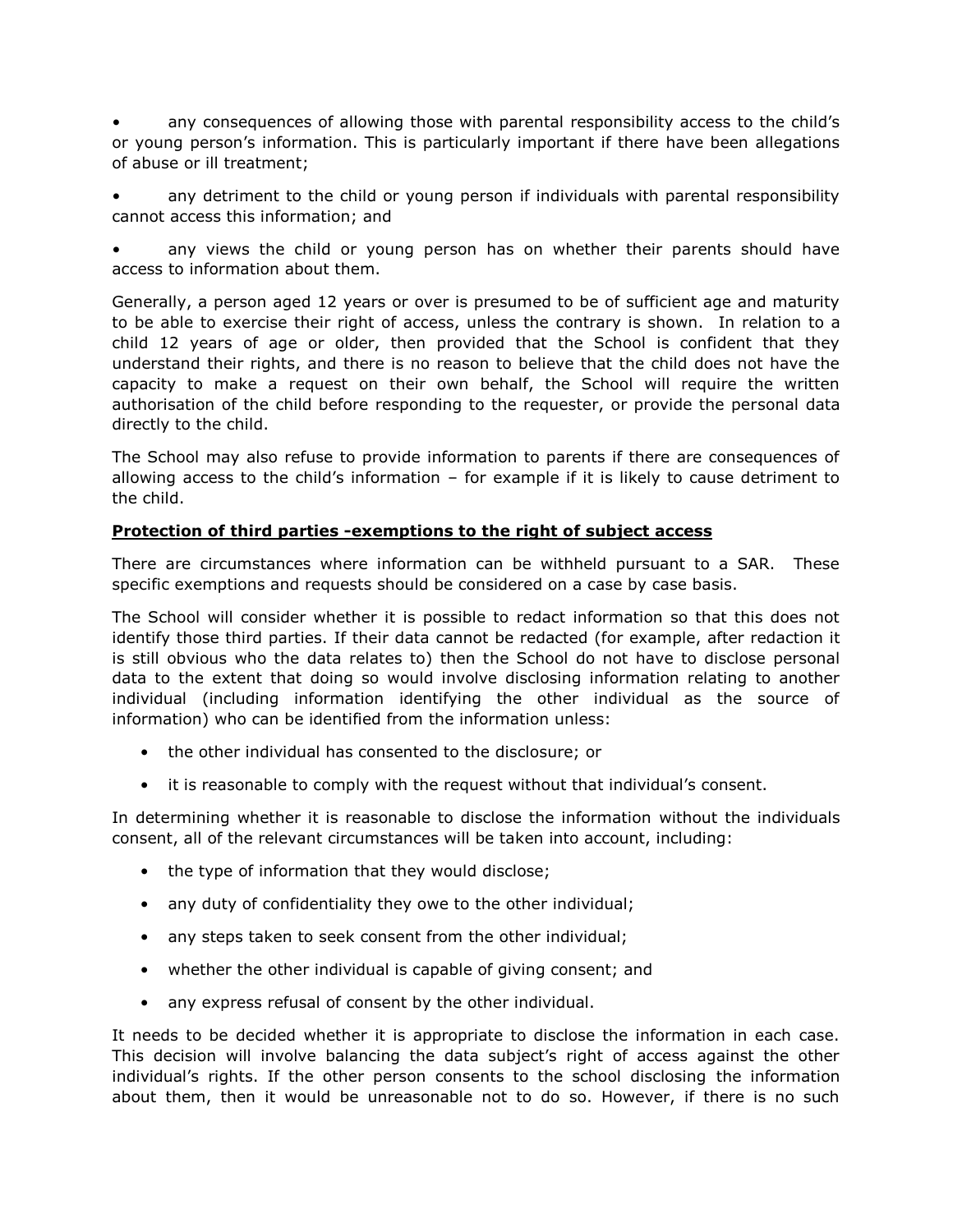• any consequences of allowing those with parental responsibility access to the child's or young person's information. This is particularly important if there have been allegations of abuse or ill treatment;

• any detriment to the child or young person if individuals with parental responsibility cannot access this information; and

any views the child or young person has on whether their parents should have access to information about them.

Generally, a person aged 12 years or over is presumed to be of sufficient age and maturity to be able to exercise their right of access, unless the contrary is shown. In relation to a child 12 years of age or older, then provided that the School is confident that they understand their rights, and there is no reason to believe that the child does not have the capacity to make a request on their own behalf, the School will require the written authorisation of the child before responding to the requester, or provide the personal data directly to the child.

The School may also refuse to provide information to parents if there are consequences of allowing access to the child's information  $-$  for example if it is likely to cause detriment to the child.

# **Protection of third parties -exemptions to the right of subject access**

There are circumstances where information can be withheld pursuant to a SAR. These specific exemptions and requests should be considered on a case by case basis.

The School will consider whether it is possible to redact information so that this does not identify those third parties. If their data cannot be redacted (for example, after redaction it is still obvious who the data relates to) then the School do not have to disclose personal data to the extent that doing so would involve disclosing information relating to another individual (including information identifying the other individual as the source of information) who can be identified from the information unless:

- the other individual has consented to the disclosure; or
- it is reasonable to comply with the request without that individual's consent.

In determining whether it is reasonable to disclose the information without the individuals consent, all of the relevant circumstances will be taken into account, including:

- the type of information that they would disclose;
- any duty of confidentiality they owe to the other individual;
- any steps taken to seek consent from the other individual;
- whether the other individual is capable of giving consent; and
- any express refusal of consent by the other individual.

It needs to be decided whether it is appropriate to disclose the information in each case. This decision will involve balancing the data subject's right of access against the other individual's rights. If the other person consents to the school disclosing the information about them, then it would be unreasonable not to do so. However, if there is no such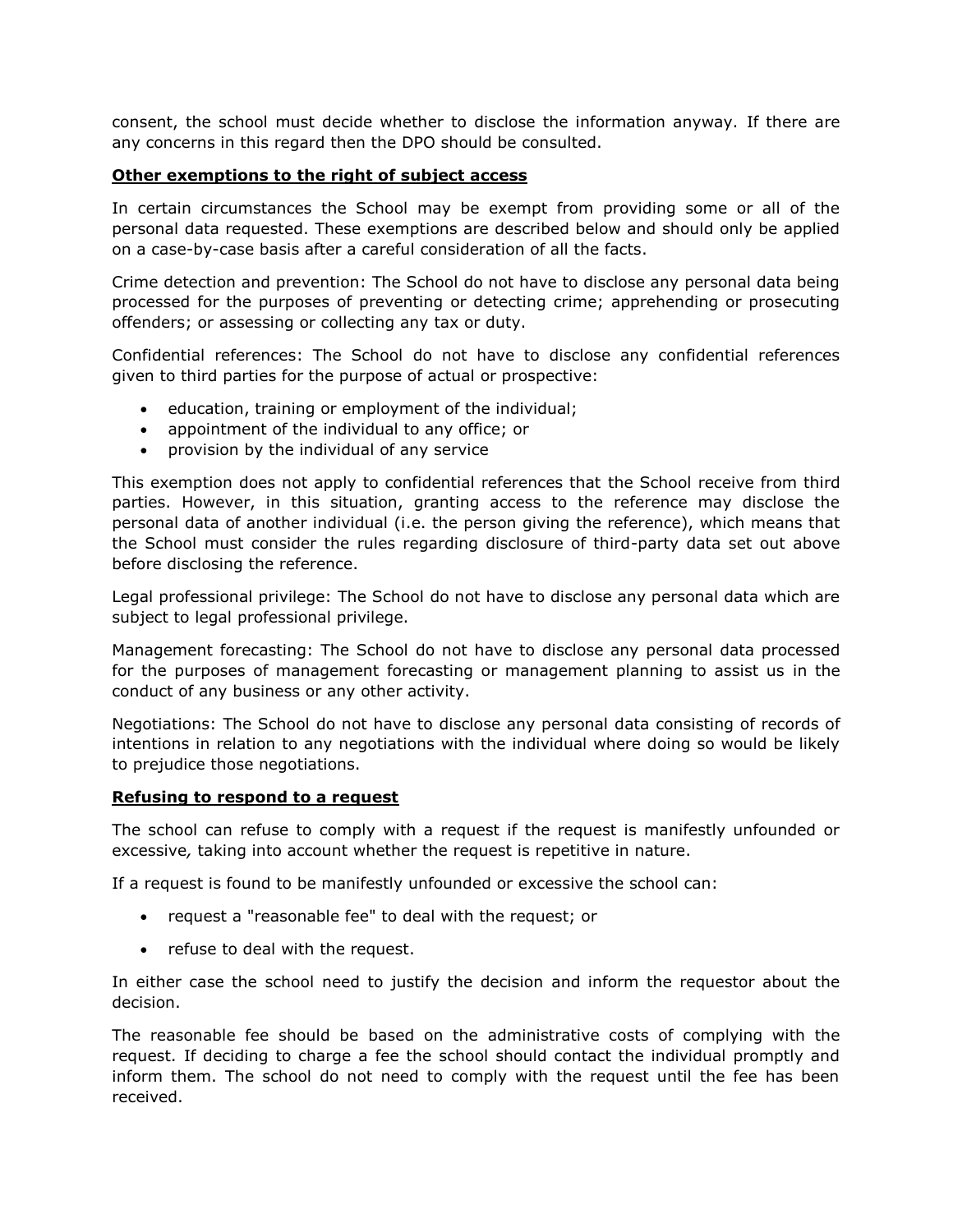consent, the school must decide whether to disclose the information anyway. If there are any concerns in this regard then the DPO should be consulted.

# **Other exemptions to the right of subject access**

In certain circumstances the School may be exempt from providing some or all of the personal data requested. These exemptions are described below and should only be applied on a case-by-case basis after a careful consideration of all the facts.

Crime detection and prevention: The School do not have to disclose any personal data being processed for the purposes of preventing or detecting crime; apprehending or prosecuting offenders; or assessing or collecting any tax or duty.

Confidential references: The School do not have to disclose any confidential references given to third parties for the purpose of actual or prospective:

- education, training or employment of the individual;
- appointment of the individual to any office; or
- provision by the individual of any service

This exemption does not apply to confidential references that the School receive from third parties. However, in this situation, granting access to the reference may disclose the personal data of another individual (i.e. the person giving the reference), which means that the School must consider the rules regarding disclosure of third-party data set out above before disclosing the reference.

Legal professional privilege: The School do not have to disclose any personal data which are subject to legal professional privilege.

Management forecasting: The School do not have to disclose any personal data processed for the purposes of management forecasting or management planning to assist us in the conduct of any business or any other activity.

Negotiations: The School do not have to disclose any personal data consisting of records of intentions in relation to any negotiations with the individual where doing so would be likely to prejudice those negotiations.

# **Refusing to respond to a request**

The school can refuse to comply with a request if the request is manifestly unfounded or excessive*,* taking into account whether the request is repetitive in nature.

If a request is found to be manifestly unfounded or excessive the school can:

- request a "reasonable fee" to deal with the request; or
- refuse to deal with the request.

In either case the school need to justify the decision and inform the requestor about the decision.

The reasonable fee should be based on the administrative costs of complying with the request. If deciding to charge a fee the school should contact the individual promptly and inform them. The school do not need to comply with the request until the fee has been received.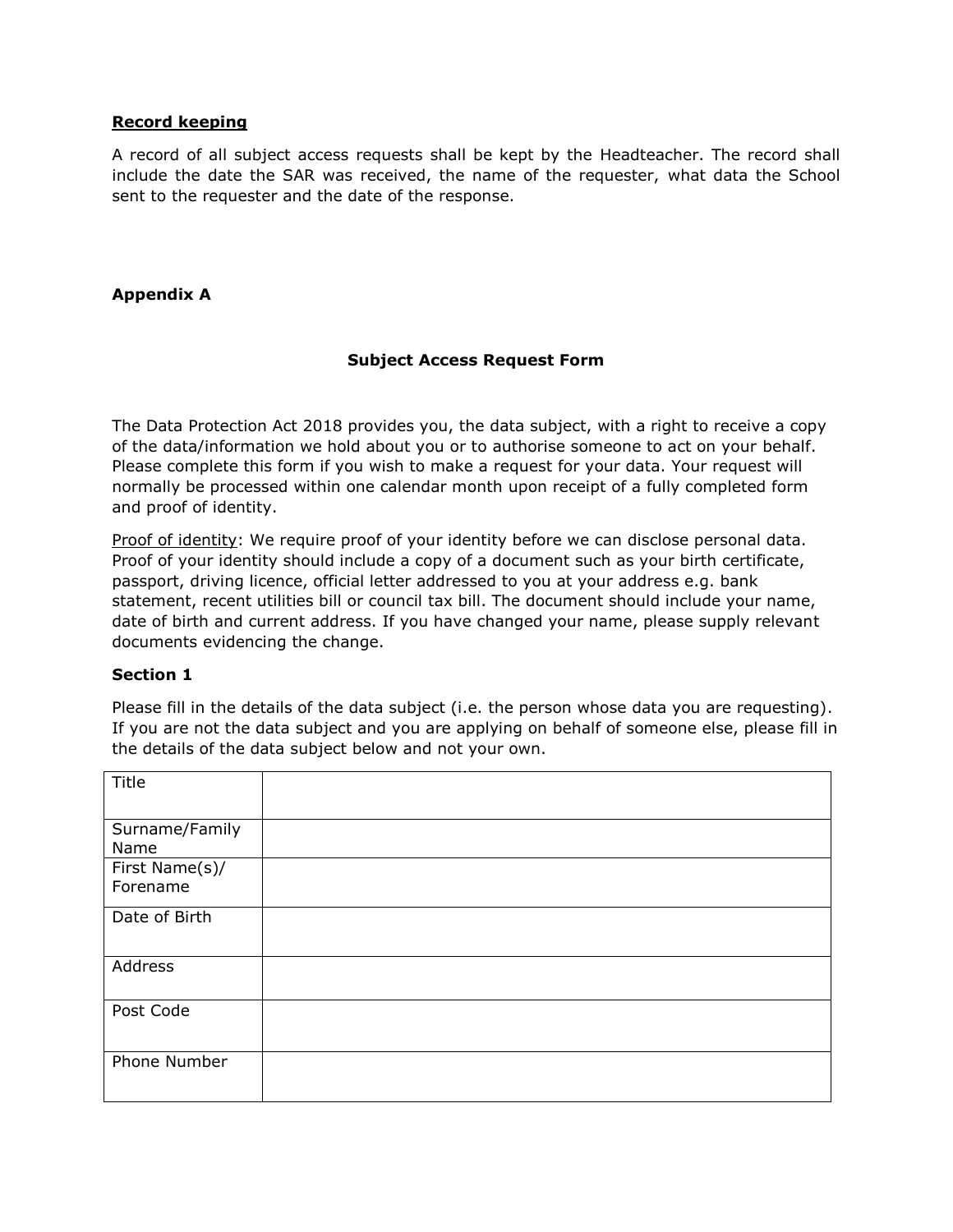# **Record keeping**

A record of all subject access requests shall be kept by the Headteacher. The record shall include the date the SAR was received, the name of the requester, what data the School sent to the requester and the date of the response.

# **Appendix A**

# **Subject Access Request Form**

The Data Protection Act 2018 provides you, the data subject, with a right to receive a copy of the data/information we hold about you or to authorise someone to act on your behalf. Please complete this form if you wish to make a request for your data. Your request will normally be processed within one calendar month upon receipt of a fully completed form and proof of identity.

Proof of identity: We require proof of your identity before we can disclose personal data. Proof of your identity should include a copy of a document such as your birth certificate, passport, driving licence, official letter addressed to you at your address e.g. bank statement, recent utilities bill or council tax bill. The document should include your name, date of birth and current address. If you have changed your name, please supply relevant documents evidencing the change.

#### **Section 1**

Please fill in the details of the data subject (i.e. the person whose data you are requesting). If you are not the data subject and you are applying on behalf of someone else, please fill in the details of the data subject below and not your own.

| Title                      |  |
|----------------------------|--|
| Surname/Family<br>Name     |  |
| First Name(s)/<br>Forename |  |
| Date of Birth              |  |
| Address                    |  |
| Post Code                  |  |
| Phone Number               |  |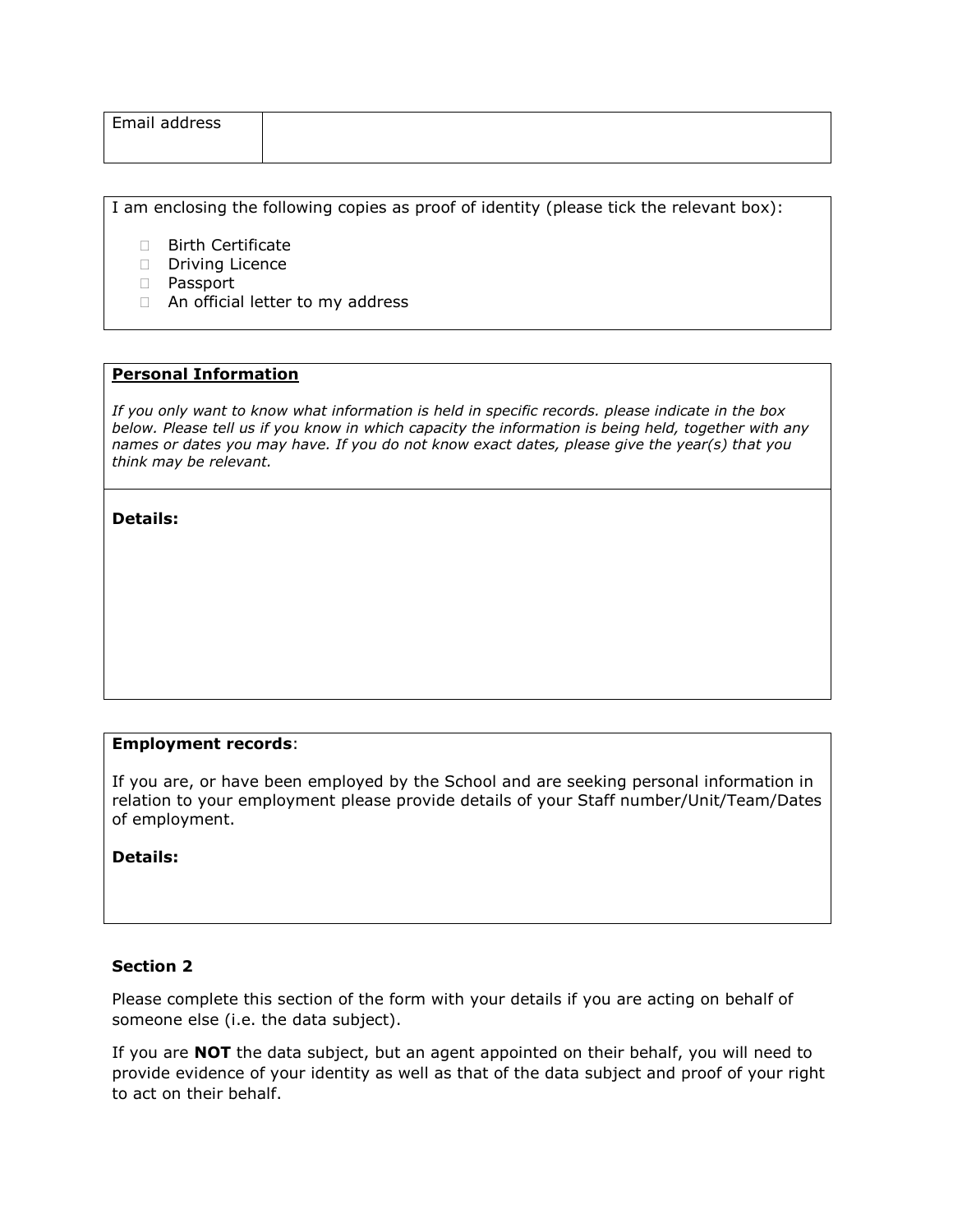| Email address |  |  |
|---------------|--|--|
|               |  |  |

I am enclosing the following copies as proof of identity (please tick the relevant box):

- □ Birth Certificate
- Driving Licence
- Passport
- □ An official letter to my address

#### **Personal Information**

*If you only want to know what information is held in specific records. please indicate in the box below. Please tell us if you know in which capacity the information is being held, together with any names or dates you may have. If you do not know exact dates, please give the year(s) that you think may be relevant.* 

#### **Details:**

# **Employment records**:

If you are, or have been employed by the School and are seeking personal information in relation to your employment please provide details of your Staff number/Unit/Team/Dates of employment.

**Details:**

# **Section 2**

Please complete this section of the form with your details if you are acting on behalf of someone else (i.e. the data subject).

If you are **NOT** the data subject, but an agent appointed on their behalf, you will need to provide evidence of your identity as well as that of the data subject and proof of your right to act on their behalf.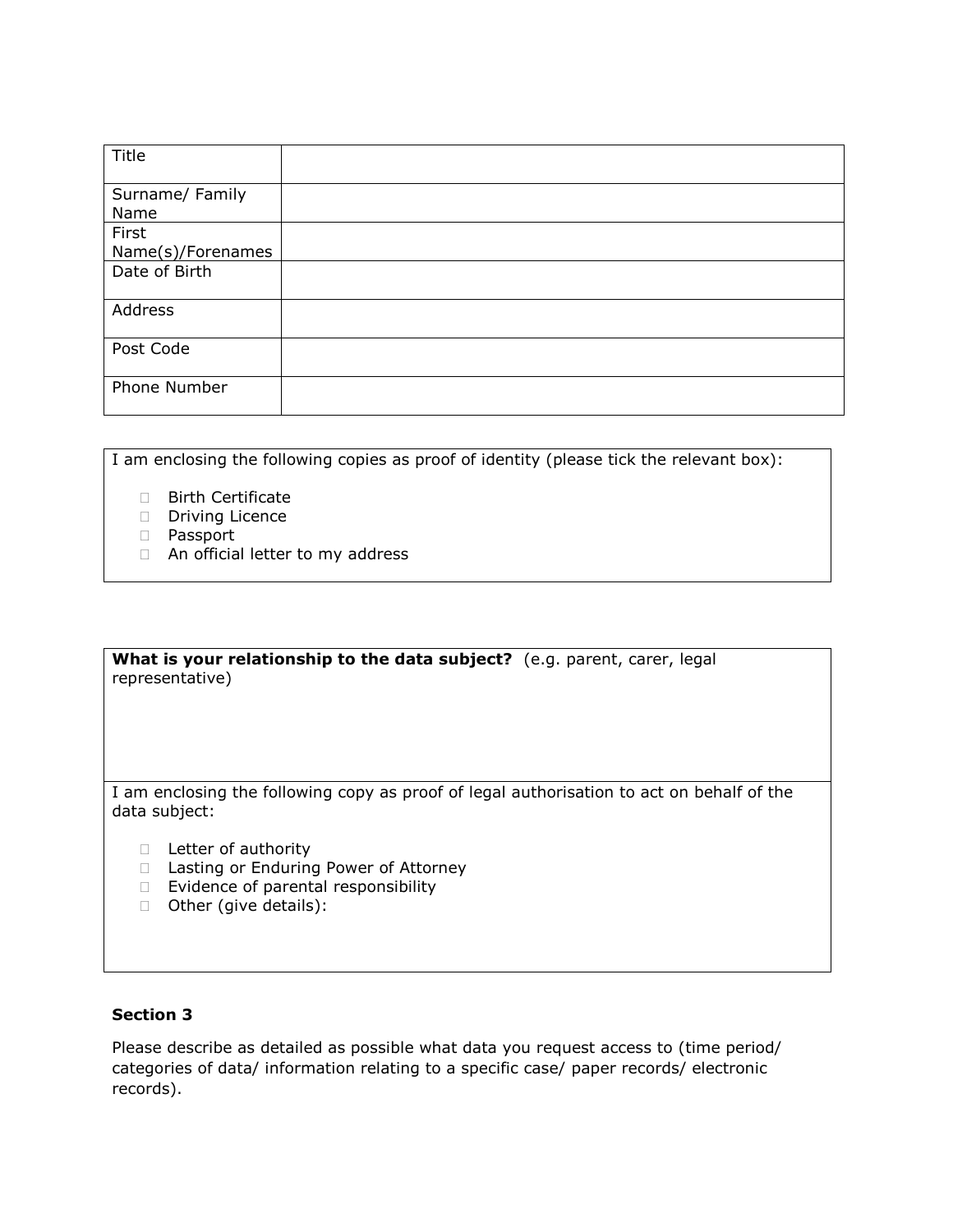| Title                      |  |
|----------------------------|--|
| Surname/ Family<br>Name    |  |
| First<br>Name(s)/Forenames |  |
| Date of Birth              |  |
| Address                    |  |
| Post Code                  |  |
| Phone Number               |  |

I am enclosing the following copies as proof of identity (please tick the relevant box):

- □ Birth Certificate
- Driving Licence
- Passport
- □ An official letter to my address

#### **What is your relationship to the data subject?** (e.g. parent, carer, legal representative)

I am enclosing the following copy as proof of legal authorisation to act on behalf of the data subject:

- D Letter of authority
- □ Lasting or Enduring Power of Attorney
- $\Box$  Evidence of parental responsibility
- □ Other (give details):

# **Section 3**

Please describe as detailed as possible what data you request access to (time period/ categories of data/ information relating to a specific case/ paper records/ electronic records).